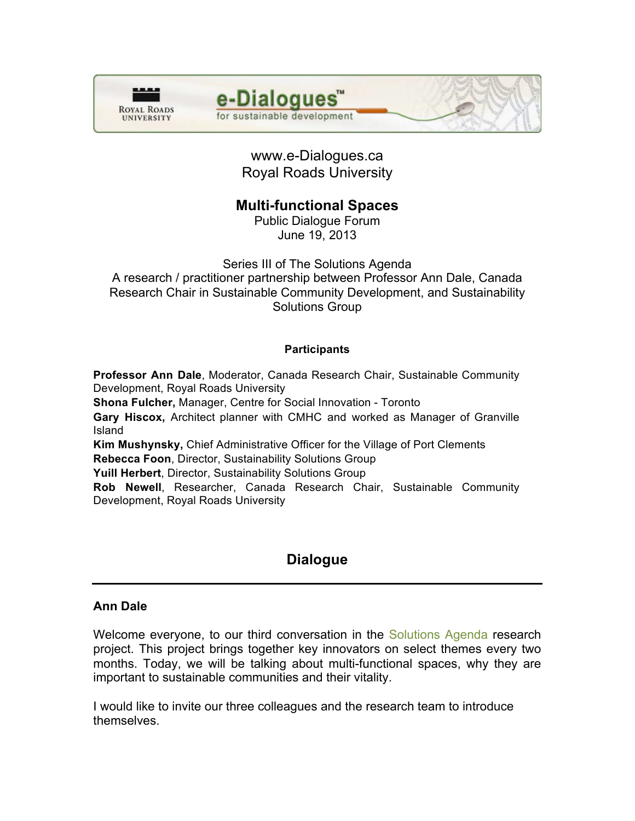



www.e-Dialogues.ca Royal Roads University

# **Multi-functional Spaces**

Public Dialogue Forum June 19, 2013

Series III of The Solutions Agenda A research / practitioner partnership between Professor Ann Dale, Canada Research Chair in Sustainable Community Development, and Sustainability

#### Solutions Group

#### **Participants**

**Professor Ann Dale**, Moderator, Canada Research Chair, Sustainable Community Development, Royal Roads University **Shona Fulcher,** Manager, Centre for Social Innovation - Toronto

**Gary Hiscox,** Architect planner with CMHC and worked as Manager of Granville Island

**Kim Mushynsky,** Chief Administrative Officer for the Village of Port Clements **Rebecca Foon**, Director, Sustainability Solutions Group

**Yuill Herbert**, Director, Sustainability Solutions Group

**Rob Newell**, Researcher, Canada Research Chair, Sustainable Community Development, Royal Roads University

# **Dialogue**

## **Ann Dale**

Welcome everyone, to our third conversation in the [Solutions Agenda](http://www.crcresearch.org/solutions-agenda) research project. This project brings together key innovators on select themes every two months. Today, we will be talking about multi-functional spaces, why they are important to sustainable communities and their vitality.

I would like to invite our three colleagues and the research team to introduce themselves.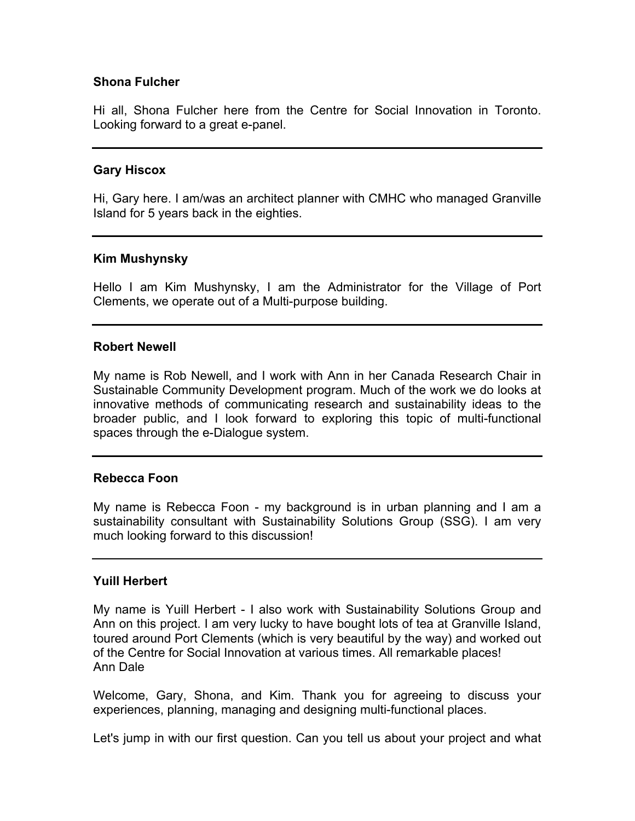#### **Shona Fulcher**

Hi all, Shona Fulcher here from the Centre for Social Innovation in Toronto. Looking forward to a great e-panel.

#### **Gary Hiscox**

Hi, Gary here. I am/was an architect planner with CMHC who managed Granville Island for 5 years back in the eighties.

#### **Kim Mushynsky**

Hello I am Kim Mushynsky, I am the Administrator for the Village of Port Clements, we operate out of a Multi-purpose building.

#### **Robert Newell**

My name is Rob Newell, and I work with Ann in her Canada Research Chair in Sustainable Community Development program. Much of the work we do looks at innovative methods of communicating research and sustainability ideas to the broader public, and I look forward to exploring this topic of multi-functional spaces through the e-Dialogue system.

#### **Rebecca Foon**

My name is Rebecca Foon - my background is in urban planning and I am a sustainability consultant with Sustainability Solutions Group (SSG). I am very much looking forward to this discussion!

#### **Yuill Herbert**

My name is Yuill Herbert - I also work with Sustainability Solutions Group and Ann on this project. I am very lucky to have bought lots of tea at Granville Island, toured around Port Clements (which is very beautiful by the way) and worked out of the Centre for Social Innovation at various times. All remarkable places! Ann Dale

Welcome, Gary, Shona, and Kim. Thank you for agreeing to discuss your experiences, planning, managing and designing multi-functional places.

Let's jump in with our first question. Can you tell us about your project and what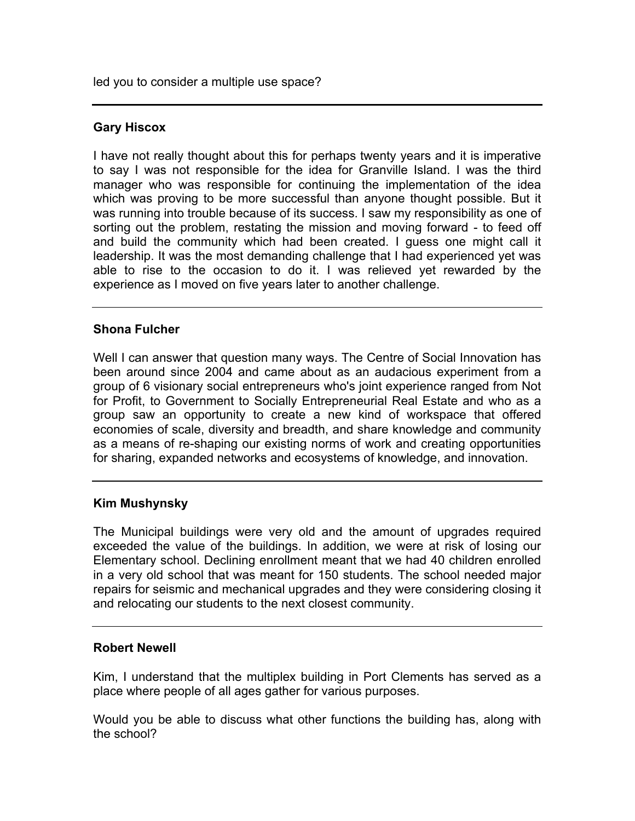led you to consider a multiple use space?

## **Gary Hiscox**

I have not really thought about this for perhaps twenty years and it is imperative to say I was not responsible for the idea for Granville Island. I was the third manager who was responsible for continuing the implementation of the idea which was proving to be more successful than anyone thought possible. But it was running into trouble because of its success. I saw my responsibility as one of sorting out the problem, restating the mission and moving forward - to feed off and build the community which had been created. I guess one might call it leadership. It was the most demanding challenge that I had experienced yet was able to rise to the occasion to do it. I was relieved yet rewarded by the experience as I moved on five years later to another challenge.

#### **Shona Fulcher**

Well I can answer that question many ways. The Centre of Social Innovation has been around since 2004 and came about as an audacious experiment from a group of 6 visionary social entrepreneurs who's joint experience ranged from Not for Profit, to Government to Socially Entrepreneurial Real Estate and who as a group saw an opportunity to create a new kind of workspace that offered economies of scale, diversity and breadth, and share knowledge and community as a means of re-shaping our existing norms of work and creating opportunities for sharing, expanded networks and ecosystems of knowledge, and innovation.

#### **Kim Mushynsky**

The Municipal buildings were very old and the amount of upgrades required exceeded the value of the buildings. In addition, we were at risk of losing our Elementary school. Declining enrollment meant that we had 40 children enrolled in a very old school that was meant for 150 students. The school needed major repairs for seismic and mechanical upgrades and they were considering closing it and relocating our students to the next closest community.

## **Robert Newell**

Kim, I understand that the multiplex building in Port Clements has served as a place where people of all ages gather for various purposes.

Would you be able to discuss what other functions the building has, along with the school?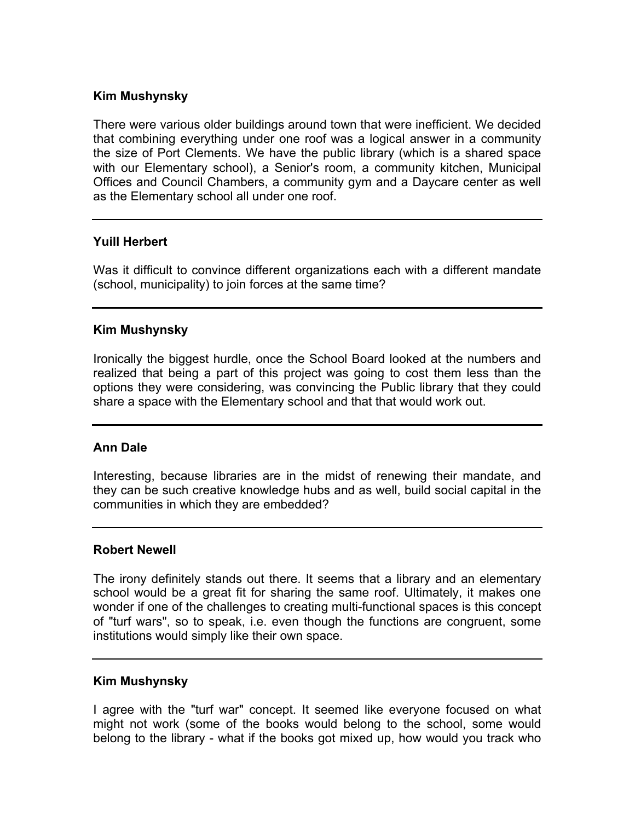## **Kim Mushynsky**

There were various older buildings around town that were inefficient. We decided that combining everything under one roof was a logical answer in a community the size of Port Clements. We have the public library (which is a shared space with our Elementary school), a Senior's room, a community kitchen, Municipal Offices and Council Chambers, a community gym and a Daycare center as well as the Elementary school all under one roof.

#### **Yuill Herbert**

Was it difficult to convince different organizations each with a different mandate (school, municipality) to join forces at the same time?

#### **Kim Mushynsky**

Ironically the biggest hurdle, once the School Board looked at the numbers and realized that being a part of this project was going to cost them less than the options they were considering, was convincing the Public library that they could share a space with the Elementary school and that that would work out.

## **Ann Dale**

Interesting, because libraries are in the midst of renewing their mandate, and they can be such creative knowledge hubs and as well, build social capital in the communities in which they are embedded?

#### **Robert Newell**

The irony definitely stands out there. It seems that a library and an elementary school would be a great fit for sharing the same roof. Ultimately, it makes one wonder if one of the challenges to creating multi-functional spaces is this concept of "turf wars", so to speak, i.e. even though the functions are congruent, some institutions would simply like their own space.

#### **Kim Mushynsky**

I agree with the "turf war" concept. It seemed like everyone focused on what might not work (some of the books would belong to the school, some would belong to the library - what if the books got mixed up, how would you track who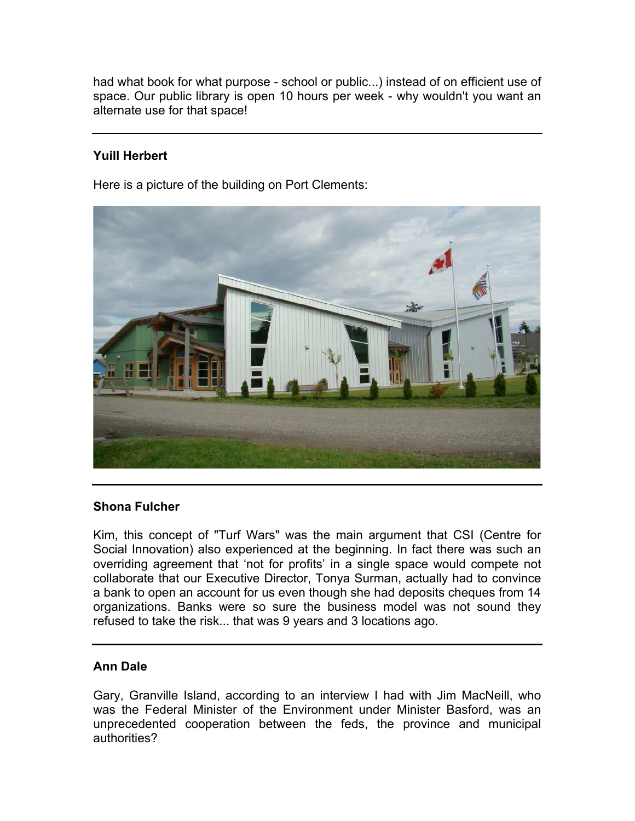had what book for what purpose - school or public...) instead of on efficient use of space. Our public library is open 10 hours per week - why wouldn't you want an alternate use for that space!

## **Yuill Herbert**

Here is a picture of the building on Port Clements:



## **Shona Fulcher**

Kim, this concept of "Turf Wars" was the main argument that CSI (Centre for Social Innovation) also experienced at the beginning. In fact there was such an overriding agreement that 'not for profits' in a single space would compete not collaborate that our Executive Director, Tonya Surman, actually had to convince a bank to open an account for us even though she had deposits cheques from 14 organizations. Banks were so sure the business model was not sound they refused to take the risk... that was 9 years and 3 locations ago.

## **Ann Dale**

Gary, Granville Island, according to an interview I had with Jim MacNeill, who was the Federal Minister of the Environment under Minister Basford, was an unprecedented cooperation between the feds, the province and municipal authorities?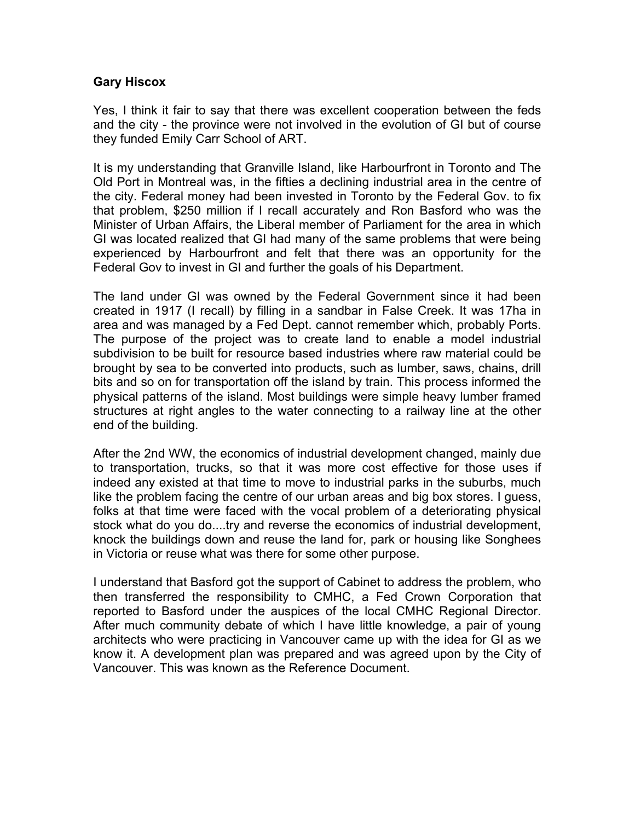## **Gary Hiscox**

Yes, I think it fair to say that there was excellent cooperation between the feds and the city - the province were not involved in the evolution of GI but of course they funded Emily Carr School of ART.

It is my understanding that Granville Island, like Harbourfront in Toronto and The Old Port in Montreal was, in the fifties a declining industrial area in the centre of the city. Federal money had been invested in Toronto by the Federal Gov. to fix that problem, \$250 million if I recall accurately and Ron Basford who was the Minister of Urban Affairs, the Liberal member of Parliament for the area in which GI was located realized that GI had many of the same problems that were being experienced by Harbourfront and felt that there was an opportunity for the Federal Gov to invest in GI and further the goals of his Department.

The land under GI was owned by the Federal Government since it had been created in 1917 (I recall) by filling in a sandbar in False Creek. It was 17ha in area and was managed by a Fed Dept. cannot remember which, probably Ports. The purpose of the project was to create land to enable a model industrial subdivision to be built for resource based industries where raw material could be brought by sea to be converted into products, such as lumber, saws, chains, drill bits and so on for transportation off the island by train. This process informed the physical patterns of the island. Most buildings were simple heavy lumber framed structures at right angles to the water connecting to a railway line at the other end of the building.

After the 2nd WW, the economics of industrial development changed, mainly due to transportation, trucks, so that it was more cost effective for those uses if indeed any existed at that time to move to industrial parks in the suburbs, much like the problem facing the centre of our urban areas and big box stores. I guess, folks at that time were faced with the vocal problem of a deteriorating physical stock what do you do....try and reverse the economics of industrial development, knock the buildings down and reuse the land for, park or housing like Songhees in Victoria or reuse what was there for some other purpose.

I understand that Basford got the support of Cabinet to address the problem, who then transferred the responsibility to CMHC, a Fed Crown Corporation that reported to Basford under the auspices of the local CMHC Regional Director. After much community debate of which I have little knowledge, a pair of young architects who were practicing in Vancouver came up with the idea for GI as we know it. A development plan was prepared and was agreed upon by the City of Vancouver. This was known as the Reference Document.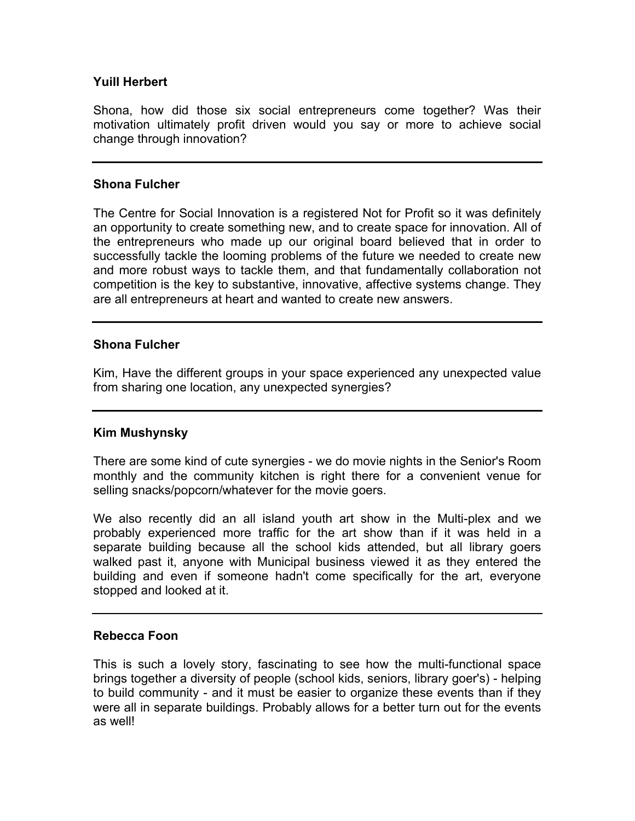#### **Yuill Herbert**

Shona, how did those six social entrepreneurs come together? Was their motivation ultimately profit driven would you say or more to achieve social change through innovation?

#### **Shona Fulcher**

The Centre for Social Innovation is a registered Not for Profit so it was definitely an opportunity to create something new, and to create space for innovation. All of the entrepreneurs who made up our original board believed that in order to successfully tackle the looming problems of the future we needed to create new and more robust ways to tackle them, and that fundamentally collaboration not competition is the key to substantive, innovative, affective systems change. They are all entrepreneurs at heart and wanted to create new answers.

#### **Shona Fulcher**

Kim, Have the different groups in your space experienced any unexpected value from sharing one location, any unexpected synergies?

#### **Kim Mushynsky**

There are some kind of cute synergies - we do movie nights in the Senior's Room monthly and the community kitchen is right there for a convenient venue for selling snacks/popcorn/whatever for the movie goers.

We also recently did an all island youth art show in the Multi-plex and we probably experienced more traffic for the art show than if it was held in a separate building because all the school kids attended, but all library goers walked past it, anyone with Municipal business viewed it as they entered the building and even if someone hadn't come specifically for the art, everyone stopped and looked at it.

#### **Rebecca Foon**

This is such a lovely story, fascinating to see how the multi-functional space brings together a diversity of people (school kids, seniors, library goer's) - helping to build community - and it must be easier to organize these events than if they were all in separate buildings. Probably allows for a better turn out for the events as well!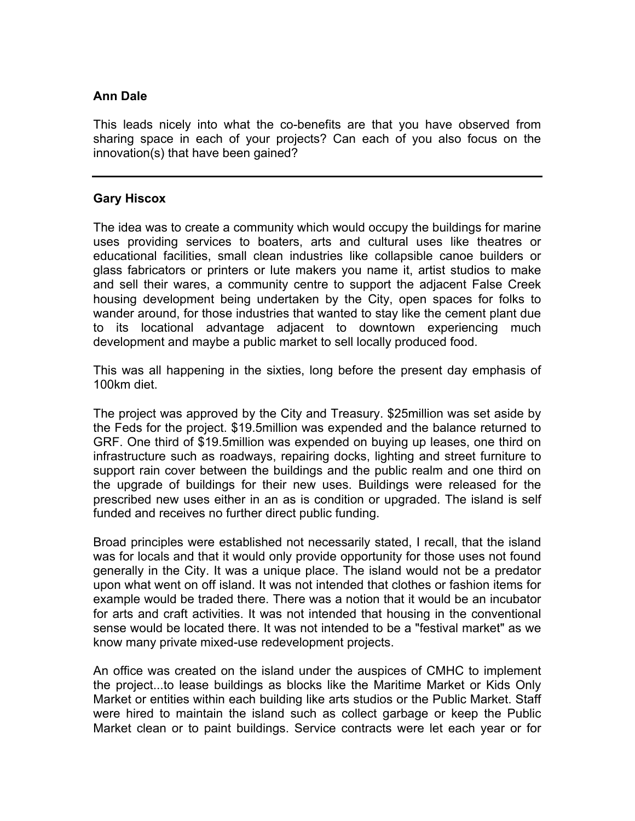## **Ann Dale**

This leads nicely into what the co-benefits are that you have observed from sharing space in each of your projects? Can each of you also focus on the innovation(s) that have been gained?

## **Gary Hiscox**

The idea was to create a community which would occupy the buildings for marine uses providing services to boaters, arts and cultural uses like theatres or educational facilities, small clean industries like collapsible canoe builders or glass fabricators or printers or lute makers you name it, artist studios to make and sell their wares, a community centre to support the adjacent False Creek housing development being undertaken by the City, open spaces for folks to wander around, for those industries that wanted to stay like the cement plant due to its locational advantage adjacent to downtown experiencing much development and maybe a public market to sell locally produced food.

This was all happening in the sixties, long before the present day emphasis of 100km diet.

The project was approved by the City and Treasury. \$25million was set aside by the Feds for the project. \$19.5million was expended and the balance returned to GRF. One third of \$19.5million was expended on buying up leases, one third on infrastructure such as roadways, repairing docks, lighting and street furniture to support rain cover between the buildings and the public realm and one third on the upgrade of buildings for their new uses. Buildings were released for the prescribed new uses either in an as is condition or upgraded. The island is self funded and receives no further direct public funding.

Broad principles were established not necessarily stated, I recall, that the island was for locals and that it would only provide opportunity for those uses not found generally in the City. It was a unique place. The island would not be a predator upon what went on off island. It was not intended that clothes or fashion items for example would be traded there. There was a notion that it would be an incubator for arts and craft activities. It was not intended that housing in the conventional sense would be located there. It was not intended to be a "festival market" as we know many private mixed-use redevelopment projects.

An office was created on the island under the auspices of CMHC to implement the project...to lease buildings as blocks like the Maritime Market or Kids Only Market or entities within each building like arts studios or the Public Market. Staff were hired to maintain the island such as collect garbage or keep the Public Market clean or to paint buildings. Service contracts were let each year or for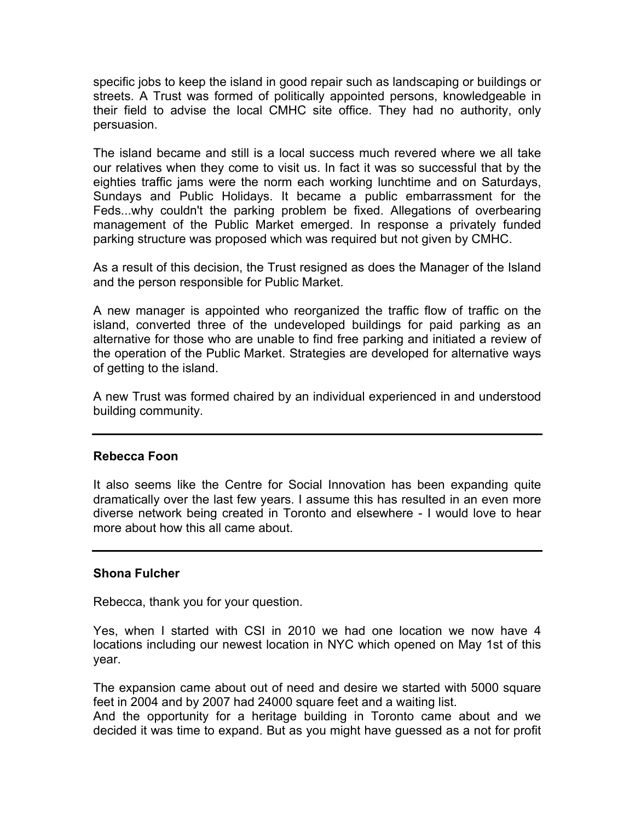specific jobs to keep the island in good repair such as landscaping or buildings or streets. A Trust was formed of politically appointed persons, knowledgeable in their field to advise the local CMHC site office. They had no authority, only persuasion.

The island became and still is a local success much revered where we all take our relatives when they come to visit us. In fact it was so successful that by the eighties traffic jams were the norm each working lunchtime and on Saturdays, Sundays and Public Holidays. It became a public embarrassment for the Feds...why couldn't the parking problem be fixed. Allegations of overbearing management of the Public Market emerged. In response a privately funded parking structure was proposed which was required but not given by CMHC.

As a result of this decision, the Trust resigned as does the Manager of the Island and the person responsible for Public Market.

A new manager is appointed who reorganized the traffic flow of traffic on the island, converted three of the undeveloped buildings for paid parking as an alternative for those who are unable to find free parking and initiated a review of the operation of the Public Market. Strategies are developed for alternative ways of getting to the island.

A new Trust was formed chaired by an individual experienced in and understood building community.

## **Rebecca Foon**

It also seems like the Centre for Social Innovation has been expanding quite dramatically over the last few years. I assume this has resulted in an even more diverse network being created in Toronto and elsewhere - I would love to hear more about how this all came about.

## **Shona Fulcher**

Rebecca, thank you for your question.

Yes, when I started with CSI in 2010 we had one location we now have 4 locations including our newest location in NYC which opened on May 1st of this year.

The expansion came about out of need and desire we started with 5000 square feet in 2004 and by 2007 had 24000 square feet and a waiting list.

And the opportunity for a heritage building in Toronto came about and we decided it was time to expand. But as you might have guessed as a not for profit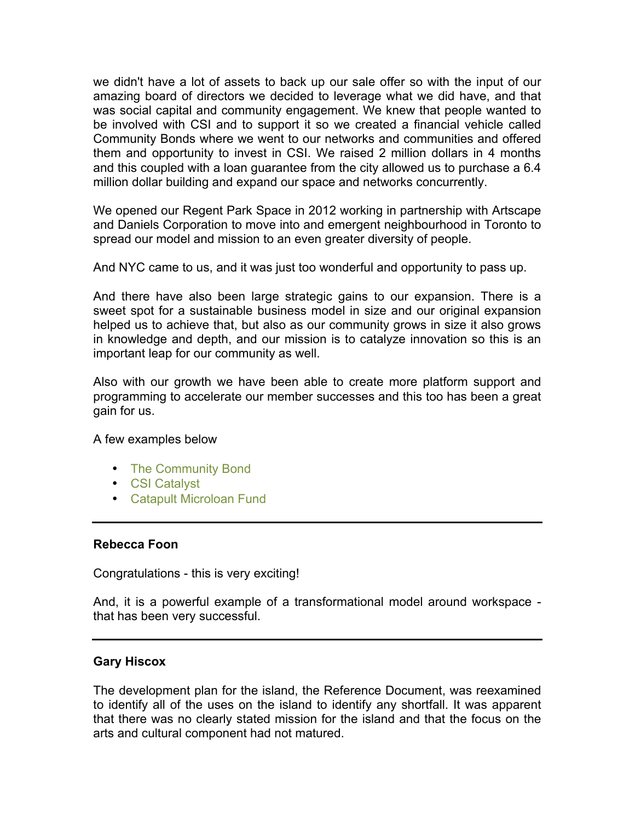we didn't have a lot of assets to back up our sale offer so with the input of our amazing board of directors we decided to leverage what we did have, and that was social capital and community engagement. We knew that people wanted to be involved with CSI and to support it so we created a financial vehicle called Community Bonds where we went to our networks and communities and offered them and opportunity to invest in CSI. We raised 2 million dollars in 4 months and this coupled with a loan guarantee from the city allowed us to purchase a 6.4 million dollar building and expand our space and networks concurrently.

We opened our Regent Park Space in 2012 working in partnership with Artscape and Daniels Corporation to move into and emergent neighbourhood in Toronto to spread our model and mission to an even greater diversity of people.

And NYC came to us, and it was just too wonderful and opportunity to pass up.

And there have also been large strategic gains to our expansion. There is a sweet spot for a sustainable business model in size and our original expansion helped us to achieve that, but also as our community grows in size it also grows in knowledge and depth, and our mission is to catalyze innovation so this is an important leap for our community as well.

Also with our growth we have been able to create more platform support and programming to accelerate our member successes and this too has been a great gain for us.

#### A few examples below

- [The Community Bond](http://socialinnovation.ca/communitybonds)
- [CSI Catalyst](http://www.csicatalyst.org/)
- [Catapult Microloan Fund](http://socialinnovation.ca/catapult)

## **Rebecca Foon**

Congratulations - this is very exciting!

And, it is a powerful example of a transformational model around workspace that has been very successful.

## **Gary Hiscox**

The development plan for the island, the Reference Document, was reexamined to identify all of the uses on the island to identify any shortfall. It was apparent that there was no clearly stated mission for the island and that the focus on the arts and cultural component had not matured.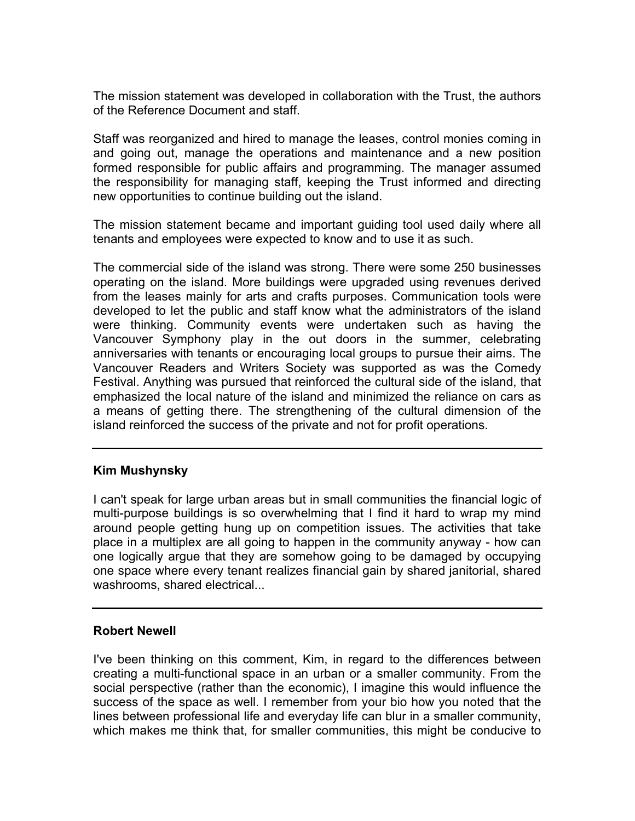The mission statement was developed in collaboration with the Trust, the authors of the Reference Document and staff.

Staff was reorganized and hired to manage the leases, control monies coming in and going out, manage the operations and maintenance and a new position formed responsible for public affairs and programming. The manager assumed the responsibility for managing staff, keeping the Trust informed and directing new opportunities to continue building out the island.

The mission statement became and important guiding tool used daily where all tenants and employees were expected to know and to use it as such.

The commercial side of the island was strong. There were some 250 businesses operating on the island. More buildings were upgraded using revenues derived from the leases mainly for arts and crafts purposes. Communication tools were developed to let the public and staff know what the administrators of the island were thinking. Community events were undertaken such as having the Vancouver Symphony play in the out doors in the summer, celebrating anniversaries with tenants or encouraging local groups to pursue their aims. The Vancouver Readers and Writers Society was supported as was the Comedy Festival. Anything was pursued that reinforced the cultural side of the island, that emphasized the local nature of the island and minimized the reliance on cars as a means of getting there. The strengthening of the cultural dimension of the island reinforced the success of the private and not for profit operations.

## **Kim Mushynsky**

I can't speak for large urban areas but in small communities the financial logic of multi-purpose buildings is so overwhelming that I find it hard to wrap my mind around people getting hung up on competition issues. The activities that take place in a multiplex are all going to happen in the community anyway - how can one logically argue that they are somehow going to be damaged by occupying one space where every tenant realizes financial gain by shared janitorial, shared washrooms, shared electrical...

#### **Robert Newell**

I've been thinking on this comment, Kim, in regard to the differences between creating a multi-functional space in an urban or a smaller community. From the social perspective (rather than the economic), I imagine this would influence the success of the space as well. I remember from your bio how you noted that the lines between professional life and everyday life can blur in a smaller community, which makes me think that, for smaller communities, this might be conducive to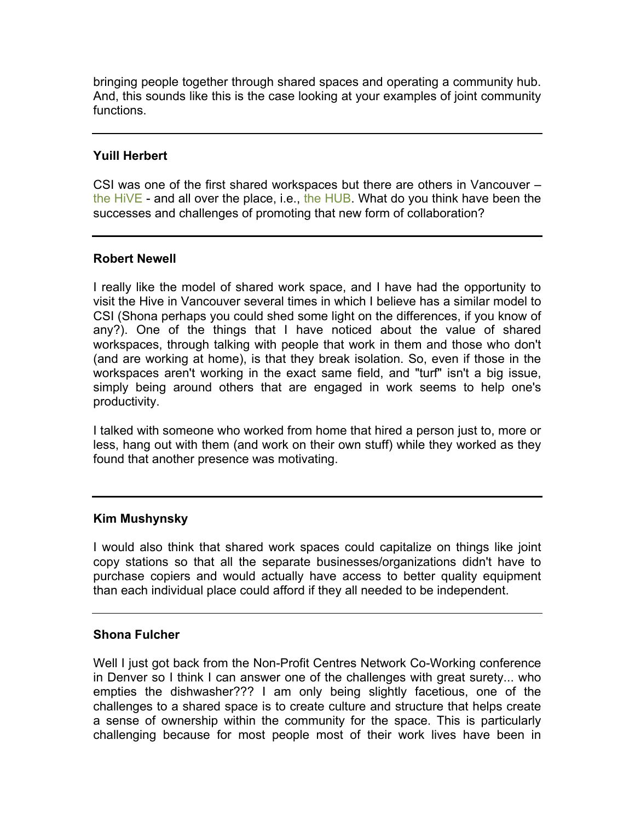bringing people together through shared spaces and operating a community hub. And, this sounds like this is the case looking at your examples of joint community functions.

## **Yuill Herbert**

CSI was one of the first shared workspaces but there are others in Vancouver – [the HiVE](http://hivevancouver.com/) - and all over the place, i.e., [the HUB.](http://www.the-hub.net/) What do you think have been the successes and challenges of promoting that new form of collaboration?

## **Robert Newell**

I really like the model of shared work space, and I have had the opportunity to visit the Hive in Vancouver several times in which I believe has a similar model to CSI (Shona perhaps you could shed some light on the differences, if you know of any?). One of the things that I have noticed about the value of shared workspaces, through talking with people that work in them and those who don't (and are working at home), is that they break isolation. So, even if those in the workspaces aren't working in the exact same field, and "turf" isn't a big issue, simply being around others that are engaged in work seems to help one's productivity.

I talked with someone who worked from home that hired a person just to, more or less, hang out with them (and work on their own stuff) while they worked as they found that another presence was motivating.

## **Kim Mushynsky**

I would also think that shared work spaces could capitalize on things like joint copy stations so that all the separate businesses/organizations didn't have to purchase copiers and would actually have access to better quality equipment than each individual place could afford if they all needed to be independent.

## **Shona Fulcher**

Well I just got back from the Non-Profit Centres Network Co-Working conference in Denver so I think I can answer one of the challenges with great surety... who empties the dishwasher??? I am only being slightly facetious, one of the challenges to a shared space is to create culture and structure that helps create a sense of ownership within the community for the space. This is particularly challenging because for most people most of their work lives have been in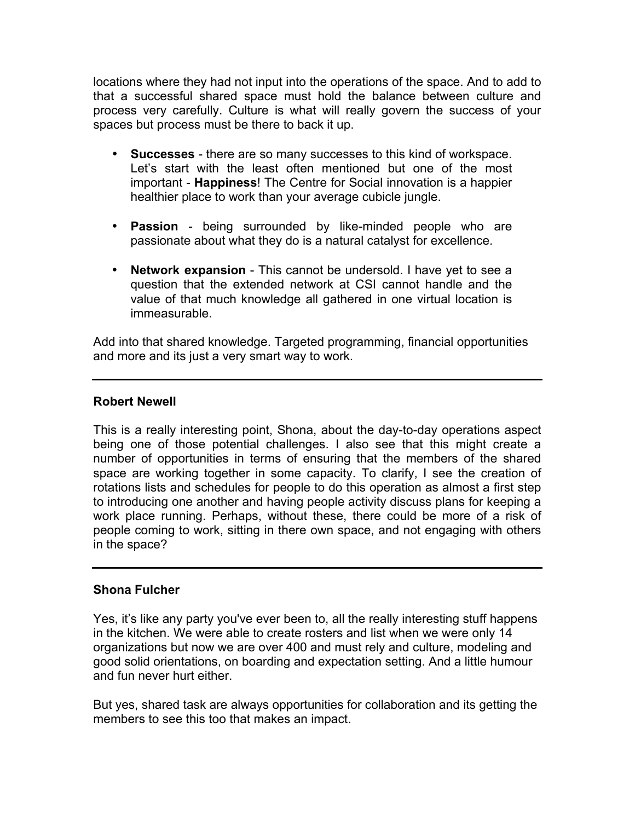locations where they had not input into the operations of the space. And to add to that a successful shared space must hold the balance between culture and process very carefully. Culture is what will really govern the success of your spaces but process must be there to back it up.

- **Successes** there are so many successes to this kind of workspace. Let's start with the least often mentioned but one of the most important - **Happiness**! The Centre for Social innovation is a happier healthier place to work than your average cubicle jungle.
- **Passion** being surrounded by like-minded people who are passionate about what they do is a natural catalyst for excellence.
- **Network expansion** This cannot be undersold. I have yet to see a question that the extended network at CSI cannot handle and the value of that much knowledge all gathered in one virtual location is immeasurable.

Add into that shared knowledge. Targeted programming, financial opportunities and more and its just a very smart way to work.

## **Robert Newell**

This is a really interesting point, Shona, about the day-to-day operations aspect being one of those potential challenges. I also see that this might create a number of opportunities in terms of ensuring that the members of the shared space are working together in some capacity. To clarify, I see the creation of rotations lists and schedules for people to do this operation as almost a first step to introducing one another and having people activity discuss plans for keeping a work place running. Perhaps, without these, there could be more of a risk of people coming to work, sitting in there own space, and not engaging with others in the space?

## **Shona Fulcher**

Yes, it's like any party you've ever been to, all the really interesting stuff happens in the kitchen. We were able to create rosters and list when we were only 14 organizations but now we are over 400 and must rely and culture, modeling and good solid orientations, on boarding and expectation setting. And a little humour and fun never hurt either.

But yes, shared task are always opportunities for collaboration and its getting the members to see this too that makes an impact.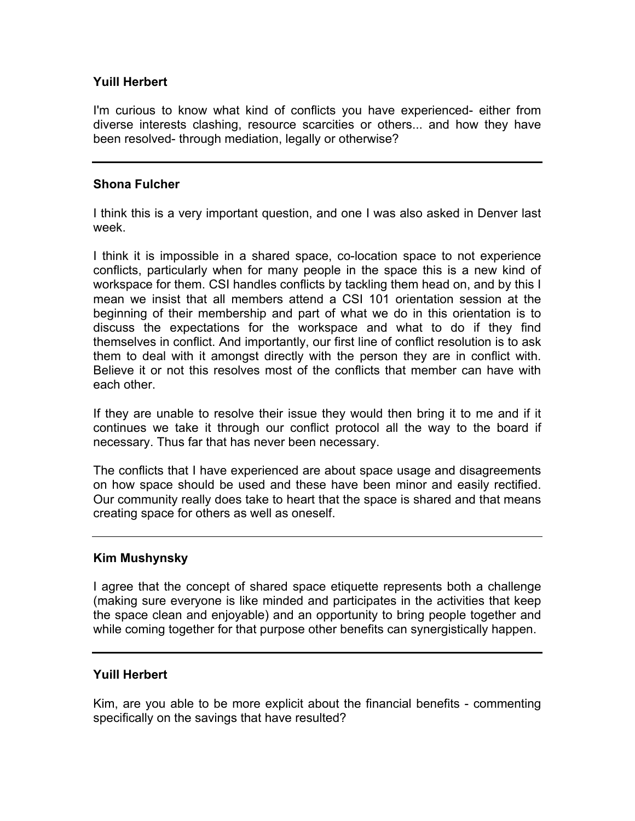## **Yuill Herbert**

I'm curious to know what kind of conflicts you have experienced- either from diverse interests clashing, resource scarcities or others... and how they have been resolved- through mediation, legally or otherwise?

#### **Shona Fulcher**

I think this is a very important question, and one I was also asked in Denver last week.

I think it is impossible in a shared space, co-location space to not experience conflicts, particularly when for many people in the space this is a new kind of workspace for them. CSI handles conflicts by tackling them head on, and by this I mean we insist that all members attend a CSI 101 orientation session at the beginning of their membership and part of what we do in this orientation is to discuss the expectations for the workspace and what to do if they find themselves in conflict. And importantly, our first line of conflict resolution is to ask them to deal with it amongst directly with the person they are in conflict with. Believe it or not this resolves most of the conflicts that member can have with each other.

If they are unable to resolve their issue they would then bring it to me and if it continues we take it through our conflict protocol all the way to the board if necessary. Thus far that has never been necessary.

The conflicts that I have experienced are about space usage and disagreements on how space should be used and these have been minor and easily rectified. Our community really does take to heart that the space is shared and that means creating space for others as well as oneself.

## **Kim Mushynsky**

I agree that the concept of shared space etiquette represents both a challenge (making sure everyone is like minded and participates in the activities that keep the space clean and enjoyable) and an opportunity to bring people together and while coming together for that purpose other benefits can synergistically happen.

#### **Yuill Herbert**

Kim, are you able to be more explicit about the financial benefits - commenting specifically on the savings that have resulted?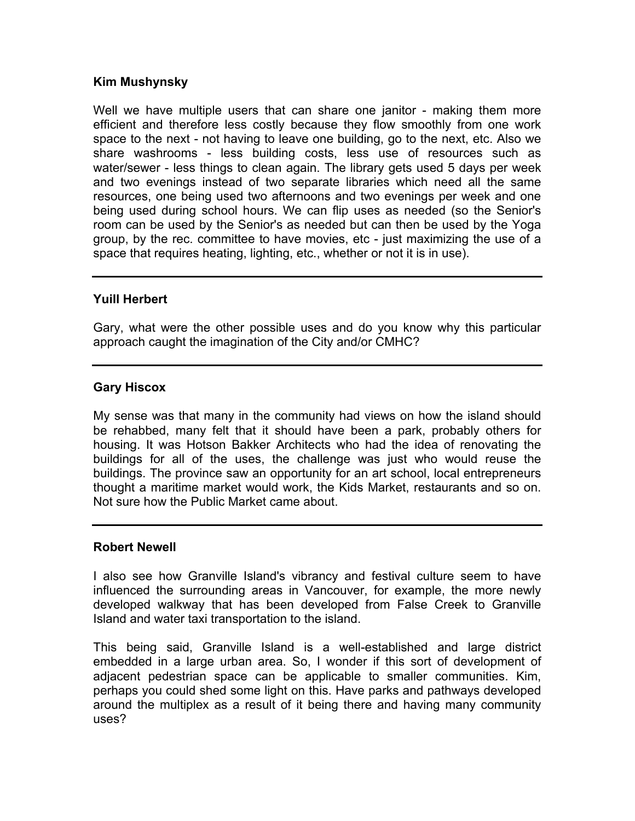## **Kim Mushynsky**

Well we have multiple users that can share one janitor - making them more efficient and therefore less costly because they flow smoothly from one work space to the next - not having to leave one building, go to the next, etc. Also we share washrooms - less building costs, less use of resources such as water/sewer - less things to clean again. The library gets used 5 days per week and two evenings instead of two separate libraries which need all the same resources, one being used two afternoons and two evenings per week and one being used during school hours. We can flip uses as needed (so the Senior's room can be used by the Senior's as needed but can then be used by the Yoga group, by the rec. committee to have movies, etc - just maximizing the use of a space that requires heating, lighting, etc., whether or not it is in use).

## **Yuill Herbert**

Gary, what were the other possible uses and do you know why this particular approach caught the imagination of the City and/or CMHC?

## **Gary Hiscox**

My sense was that many in the community had views on how the island should be rehabbed, many felt that it should have been a park, probably others for housing. It was Hotson Bakker Architects who had the idea of renovating the buildings for all of the uses, the challenge was just who would reuse the buildings. The province saw an opportunity for an art school, local entrepreneurs thought a maritime market would work, the Kids Market, restaurants and so on. Not sure how the Public Market came about.

## **Robert Newell**

I also see how Granville Island's vibrancy and festival culture seem to have influenced the surrounding areas in Vancouver, for example, the more newly developed walkway that has been developed from False Creek to Granville Island and water taxi transportation to the island.

This being said, Granville Island is a well-established and large district embedded in a large urban area. So, I wonder if this sort of development of adjacent pedestrian space can be applicable to smaller communities. Kim, perhaps you could shed some light on this. Have parks and pathways developed around the multiplex as a result of it being there and having many community uses?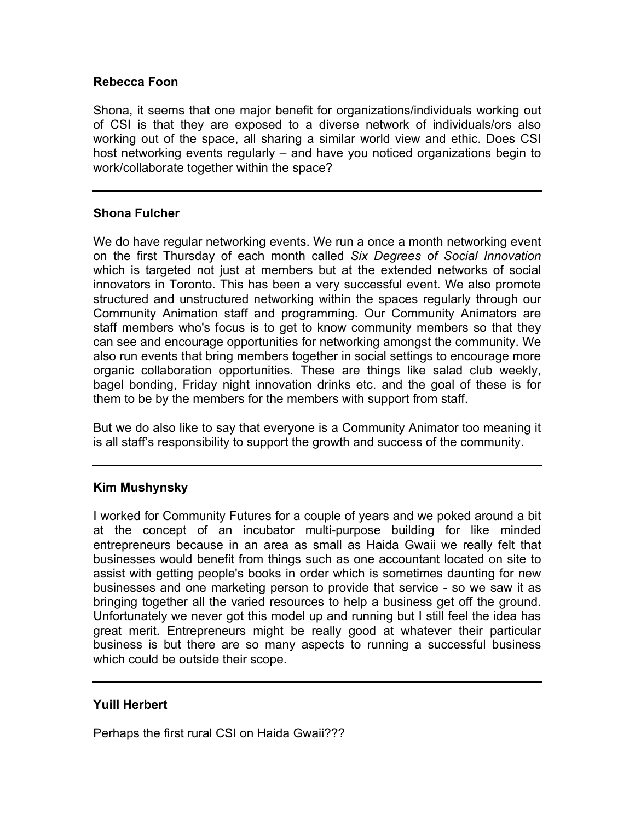## **Rebecca Foon**

Shona, it seems that one major benefit for organizations/individuals working out of CSI is that they are exposed to a diverse network of individuals/ors also working out of the space, all sharing a similar world view and ethic. Does CSI host networking events regularly – and have you noticed organizations begin to work/collaborate together within the space?

## **Shona Fulcher**

We do have regular networking events. We run a once a month networking event on the first Thursday of each month called *Six Degrees of Social Innovation* which is targeted not just at members but at the extended networks of social innovators in Toronto. This has been a very successful event. We also promote structured and unstructured networking within the spaces regularly through our Community Animation staff and programming. Our Community Animators are staff members who's focus is to get to know community members so that they can see and encourage opportunities for networking amongst the community. We also run events that bring members together in social settings to encourage more organic collaboration opportunities. These are things like salad club weekly, bagel bonding, Friday night innovation drinks etc. and the goal of these is for them to be by the members for the members with support from staff.

But we do also like to say that everyone is a Community Animator too meaning it is all staff's responsibility to support the growth and success of the community.

## **Kim Mushynsky**

I worked for Community Futures for a couple of years and we poked around a bit at the concept of an incubator multi-purpose building for like minded entrepreneurs because in an area as small as Haida Gwaii we really felt that businesses would benefit from things such as one accountant located on site to assist with getting people's books in order which is sometimes daunting for new businesses and one marketing person to provide that service - so we saw it as bringing together all the varied resources to help a business get off the ground. Unfortunately we never got this model up and running but I still feel the idea has great merit. Entrepreneurs might be really good at whatever their particular business is but there are so many aspects to running a successful business which could be outside their scope.

## **Yuill Herbert**

Perhaps the first rural CSI on Haida Gwaii???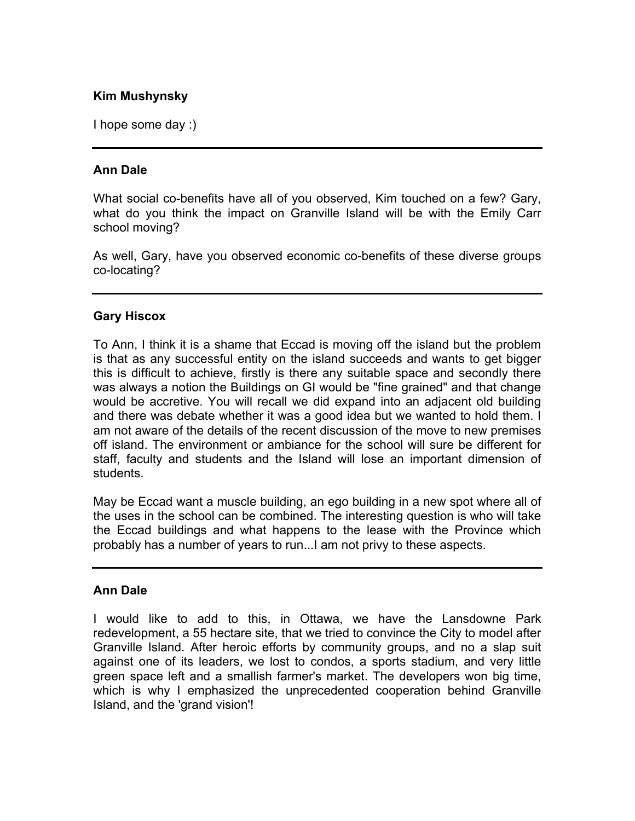## **Kim Mushynsky**

I hope some day :)

## **Ann Dale**

What social co-benefits have all of you observed, Kim touched on a few? Gary, what do you think the impact on Granville Island will be with the Emily Carr school moving?

As well, Gary, have you observed economic co-benefits of these diverse groups co-locating?

#### **Gary Hiscox**

To Ann, I think it is a shame that Eccad is moving off the island but the problem is that as any successful entity on the island succeeds and wants to get bigger this is difficult to achieve, firstly is there any suitable space and secondly there was always a notion the Buildings on GI would be "fine grained" and that change would be accretive. You will recall we did expand into an adjacent old building and there was debate whether it was a good idea but we wanted to hold them. I am not aware of the details of the recent discussion of the move to new premises off island. The environment or ambiance for the school will sure be different for staff, faculty and students and the Island will lose an important dimension of students.

May be Eccad want a muscle building, an ego building in a new spot where all of the uses in the school can be combined. The interesting question is who will take the Eccad buildings and what happens to the lease with the Province which probably has a number of years to run...I am not privy to these aspects.

#### **Ann Dale**

I would like to add to this, in Ottawa, we have the Lansdowne Park redevelopment, a 55 hectare site, that we tried to convince the City to model after Granville Island. After heroic efforts by community groups, and no a slap suit against one of its leaders, we lost to condos, a sports stadium, and very little green space left and a smallish farmer's market. The developers won big time, which is why I emphasized the unprecedented cooperation behind Granville Island, and the 'grand vision'!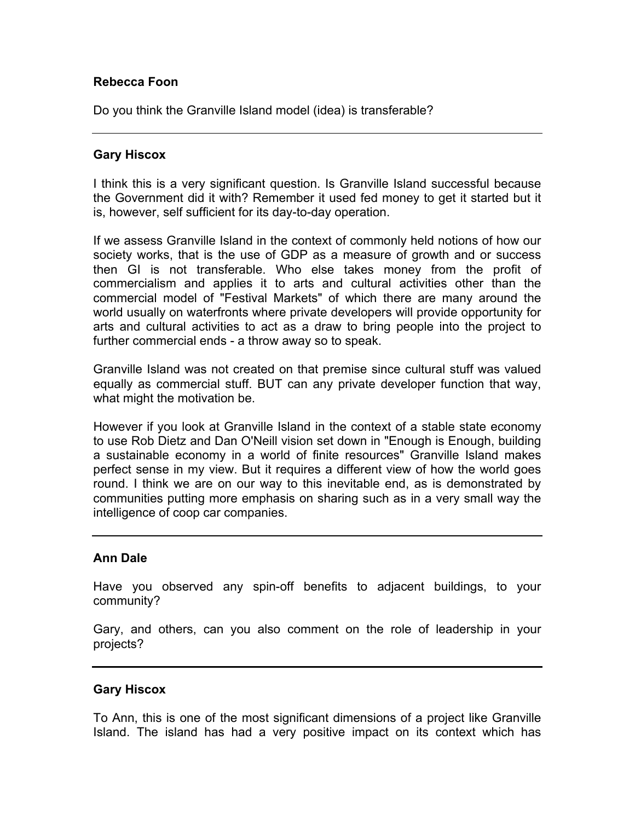## **Rebecca Foon**

Do you think the Granville Island model (idea) is transferable?

#### **Gary Hiscox**

I think this is a very significant question. Is Granville Island successful because the Government did it with? Remember it used fed money to get it started but it is, however, self sufficient for its day-to-day operation.

If we assess Granville Island in the context of commonly held notions of how our society works, that is the use of GDP as a measure of growth and or success then GI is not transferable. Who else takes money from the profit of commercialism and applies it to arts and cultural activities other than the commercial model of "Festival Markets" of which there are many around the world usually on waterfronts where private developers will provide opportunity for arts and cultural activities to act as a draw to bring people into the project to further commercial ends - a throw away so to speak.

Granville Island was not created on that premise since cultural stuff was valued equally as commercial stuff. BUT can any private developer function that way, what might the motivation be.

However if you look at Granville Island in the context of a stable state economy to use Rob Dietz and Dan O'Neill vision set down in "Enough is Enough, building a sustainable economy in a world of finite resources" Granville Island makes perfect sense in my view. But it requires a different view of how the world goes round. I think we are on our way to this inevitable end, as is demonstrated by communities putting more emphasis on sharing such as in a very small way the intelligence of coop car companies.

#### **Ann Dale**

Have you observed any spin-off benefits to adjacent buildings, to your community?

Gary, and others, can you also comment on the role of leadership in your projects?

## **Gary Hiscox**

To Ann, this is one of the most significant dimensions of a project like Granville Island. The island has had a very positive impact on its context which has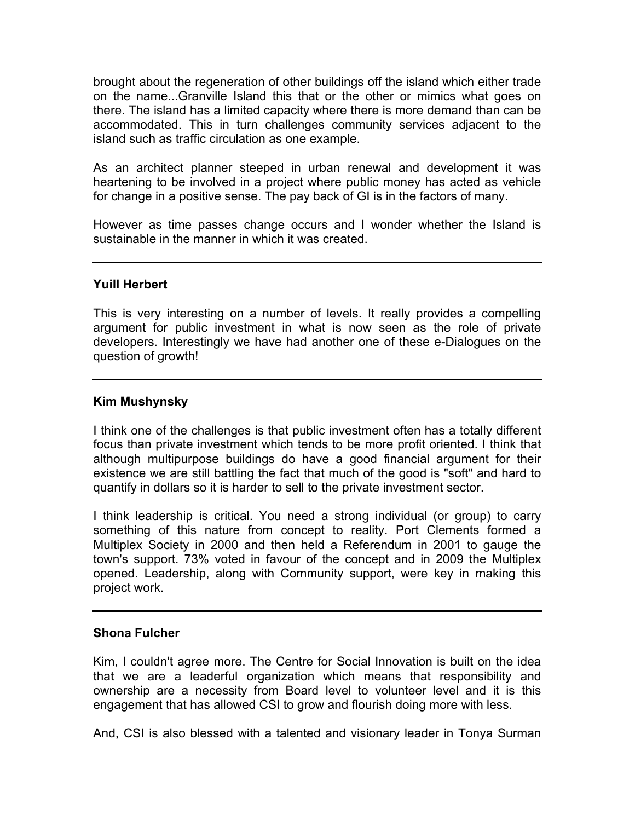brought about the regeneration of other buildings off the island which either trade on the name...Granville Island this that or the other or mimics what goes on there. The island has a limited capacity where there is more demand than can be accommodated. This in turn challenges community services adjacent to the island such as traffic circulation as one example.

As an architect planner steeped in urban renewal and development it was heartening to be involved in a project where public money has acted as vehicle for change in a positive sense. The pay back of GI is in the factors of many.

However as time passes change occurs and I wonder whether the Island is sustainable in the manner in which it was created.

#### **Yuill Herbert**

This is very interesting on a number of levels. It really provides a compelling argument for public investment in what is now seen as the role of private developers. Interestingly we have had another one of these e-Dialogues on the question of growth!

#### **Kim Mushynsky**

I think one of the challenges is that public investment often has a totally different focus than private investment which tends to be more profit oriented. I think that although multipurpose buildings do have a good financial argument for their existence we are still battling the fact that much of the good is "soft" and hard to quantify in dollars so it is harder to sell to the private investment sector.

I think leadership is critical. You need a strong individual (or group) to carry something of this nature from concept to reality. Port Clements formed a Multiplex Society in 2000 and then held a Referendum in 2001 to gauge the town's support. 73% voted in favour of the concept and in 2009 the Multiplex opened. Leadership, along with Community support, were key in making this project work.

#### **Shona Fulcher**

Kim, I couldn't agree more. The Centre for Social Innovation is built on the idea that we are a leaderful organization which means that responsibility and ownership are a necessity from Board level to volunteer level and it is this engagement that has allowed CSI to grow and flourish doing more with less.

And, CSI is also blessed with a talented and visionary leader in Tonya Surman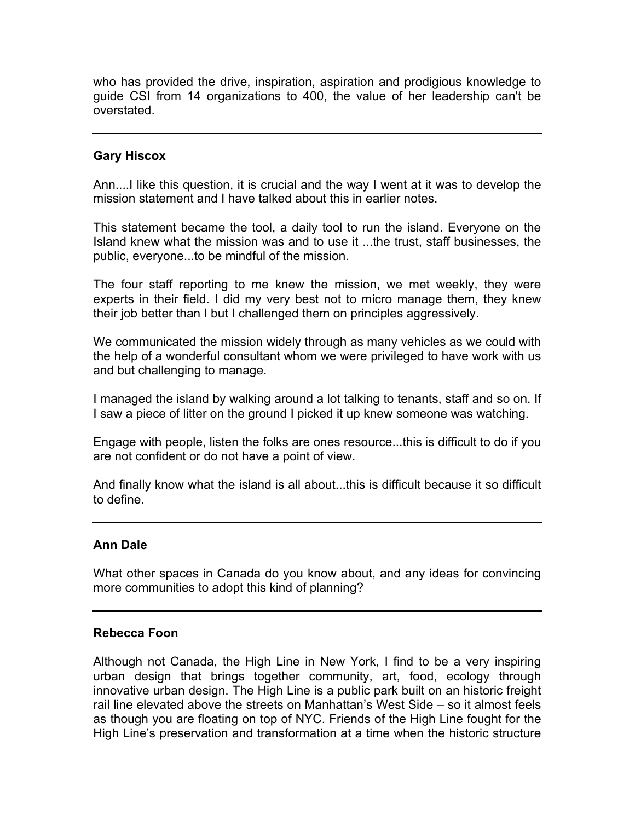who has provided the drive, inspiration, aspiration and prodigious knowledge to guide CSI from 14 organizations to 400, the value of her leadership can't be overstated.

## **Gary Hiscox**

Ann....I like this question, it is crucial and the way I went at it was to develop the mission statement and I have talked about this in earlier notes.

This statement became the tool, a daily tool to run the island. Everyone on the Island knew what the mission was and to use it ...the trust, staff businesses, the public, everyone...to be mindful of the mission.

The four staff reporting to me knew the mission, we met weekly, they were experts in their field. I did my very best not to micro manage them, they knew their job better than I but I challenged them on principles aggressively.

We communicated the mission widely through as many vehicles as we could with the help of a wonderful consultant whom we were privileged to have work with us and but challenging to manage.

I managed the island by walking around a lot talking to tenants, staff and so on. If I saw a piece of litter on the ground I picked it up knew someone was watching.

Engage with people, listen the folks are ones resource...this is difficult to do if you are not confident or do not have a point of view.

And finally know what the island is all about...this is difficult because it so difficult to define.

## **Ann Dale**

What other spaces in Canada do you know about, and any ideas for convincing more communities to adopt this kind of planning?

## **Rebecca Foon**

Although not Canada, the High Line in New York, I find to be a very inspiring urban design that brings together community, art, food, ecology through innovative urban design. The High Line is a public park built on an historic freight rail line elevated above the streets on Manhattan's West Side – so it almost feels as though you are floating on top of NYC. Friends of the High Line fought for the High Line's preservation and transformation at a time when the historic structure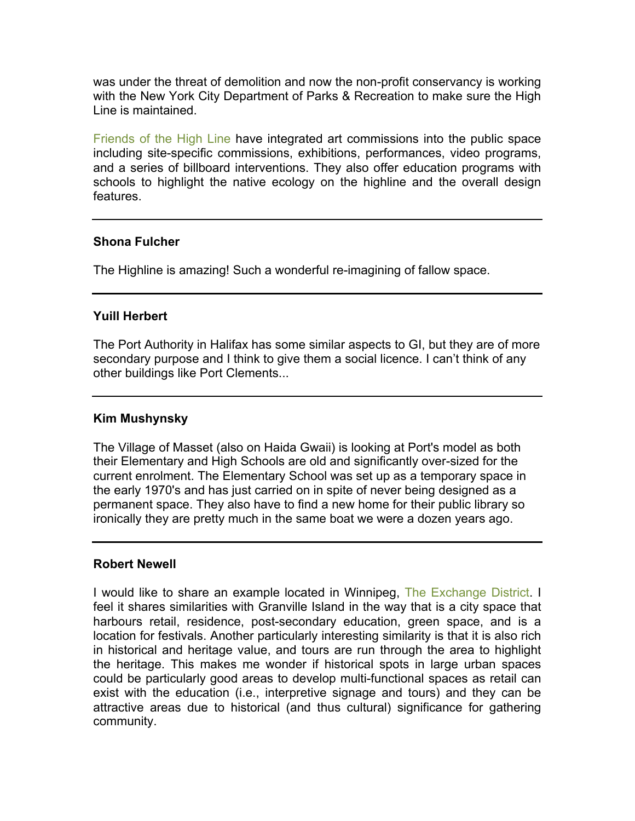was under the threat of demolition and now the non-profit conservancy is working with the New York City Department of Parks & Recreation to make sure the High Line is maintained.

[Friends of the High Line](http://www.thehighline.org/about/friends-of-the-high-line) have integrated art commissions into the public space including site-specific commissions, exhibitions, performances, video programs, and a series of billboard interventions. They also offer education programs with schools to highlight the native ecology on the highline and the overall design features.

#### **Shona Fulcher**

The Highline is amazing! Such a wonderful re-imagining of fallow space.

## **Yuill Herbert**

The Port Authority in Halifax has some similar aspects to GI, but they are of more secondary purpose and I think to give them a social licence. I can't think of any other buildings like Port Clements...

## **Kim Mushynsky**

The Village of Masset (also on Haida Gwaii) is looking at Port's model as both their Elementary and High Schools are old and significantly over-sized for the current enrolment. The Elementary School was set up as a temporary space in the early 1970's and has just carried on in spite of never being designed as a permanent space. They also have to find a new home for their public library so ironically they are pretty much in the same boat we were a dozen years ago.

## **Robert Newell**

I would like to share an example located in Winnipeg, [The Exchange District.](http://www.exchangedistrict.org) I feel it shares similarities with Granville Island in the way that is a city space that harbours retail, residence, post-secondary education, green space, and is a location for festivals. Another particularly interesting similarity is that it is also rich in historical and heritage value, and tours are run through the area to highlight the heritage. This makes me wonder if historical spots in large urban spaces could be particularly good areas to develop multi-functional spaces as retail can exist with the education (i.e., interpretive signage and tours) and they can be attractive areas due to historical (and thus cultural) significance for gathering community.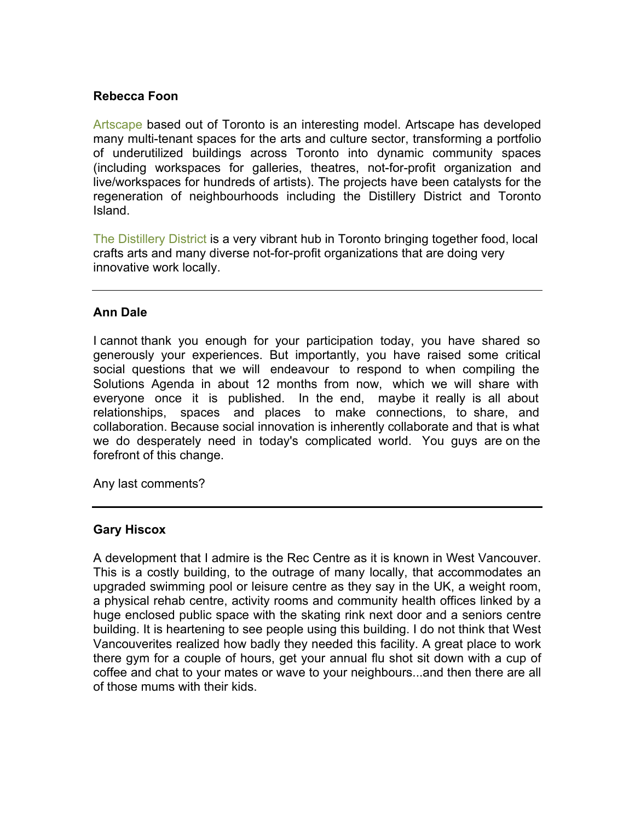## **Rebecca Foon**

[Artscape](http://www.torontoartscape.org/our-projects) based out of Toronto is an interesting model. Artscape has developed many multi-tenant spaces for the arts and culture sector, transforming a portfolio of underutilized buildings across Toronto into dynamic community spaces (including workspaces for galleries, theatres, not-for-profit organization and live/workspaces for hundreds of artists). The projects have been catalysts for the regeneration of neighbourhoods including the Distillery District and Toronto Island.

[The Distillery District](http://www.thedistillerydistrict.com/about.php) is a very vibrant hub in Toronto bringing together food, local crafts arts and many diverse not-for-profit organizations that are doing very innovative work locally.

#### **Ann Dale**

I cannot thank you enough for your participation today, you have shared so generously your experiences. But importantly, you have raised some critical social questions that we will endeavour to respond to when compiling the Solutions Agenda in about 12 months from now, which we will share with everyone once it is published. In the end, maybe it really is all about relationships, spaces and places to make connections, to share, and collaboration. Because social innovation is inherently collaborate and that is what we do desperately need in today's complicated world. You guys are on the forefront of this change.

Any last comments?

#### **Gary Hiscox**

A development that I admire is the Rec Centre as it is known in West Vancouver. This is a costly building, to the outrage of many locally, that accommodates an upgraded swimming pool or leisure centre as they say in the UK, a weight room, a physical rehab centre, activity rooms and community health offices linked by a huge enclosed public space with the skating rink next door and a seniors centre building. It is heartening to see people using this building. I do not think that West Vancouverites realized how badly they needed this facility. A great place to work there gym for a couple of hours, get your annual flu shot sit down with a cup of coffee and chat to your mates or wave to your neighbours...and then there are all of those mums with their kids.